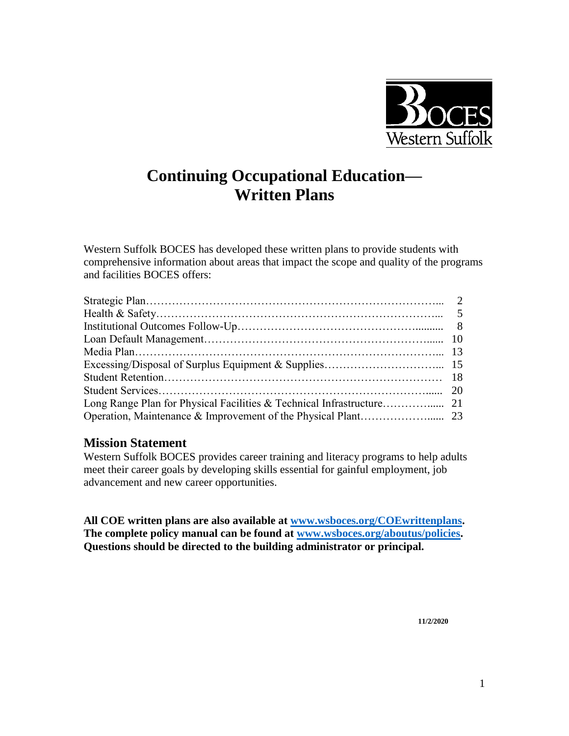

# **Continuing Occupational Education— Written Plans**

Western Suffolk BOCES has developed these written plans to provide students with comprehensive information about areas that impact the scope and quality of the programs and facilities BOCES offers:

#### **Mission Statement**

Western Suffolk BOCES provides career training and literacy programs to help adults meet their career goals by developing skills essential for gainful employment, job advancement and new career opportunities.

**All COE written plans are also available at [www.wsboces.org/COEwrittenplans.](http://www.wsboces.org/COEwrittenplans) The complete policy manual can be found at [www.wsboces.org/aboutus/policies.](http://www.wsboces.org/aboutus/policies) Questions should be directed to the building administrator or principal.**

**11/2/2020**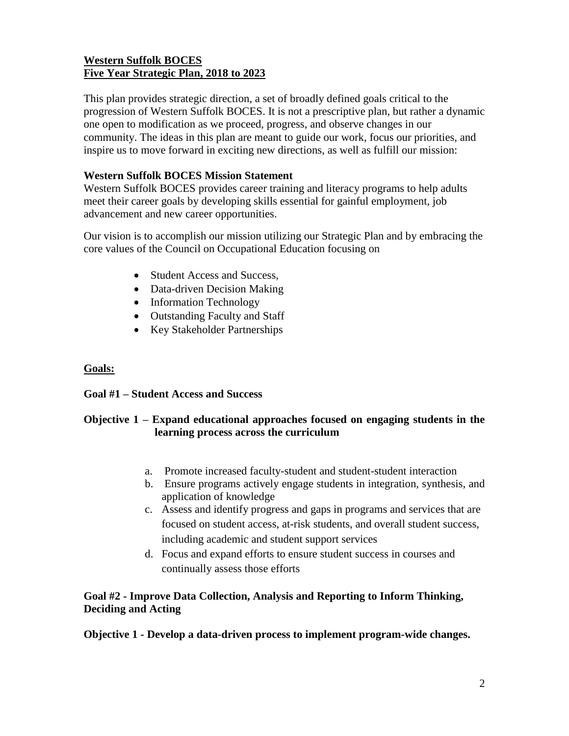# **Western Suffolk BOCES Five Year Strategic Plan, 2018 to 2023**

This plan provides strategic direction, a set of broadly defined goals critical to the progression of Western Suffolk BOCES. It is not a prescriptive plan, but rather a dynamic one open to modification as we proceed, progress, and observe changes in our community. The ideas in this plan are meant to guide our work, focus our priorities, and inspire us to move forward in exciting new directions, as well as fulfill our mission:

#### **Western Suffolk BOCES Mission Statement**

Western Suffolk BOCES provides career training and literacy programs to help adults meet their career goals by developing skills essential for gainful employment, job advancement and new career opportunities.

Our vision is to accomplish our mission utilizing our Strategic Plan and by embracing the core values of the Council on Occupational Education focusing on

- Student Access and Success,
- Data-driven Decision Making
- Information Technology
- Outstanding Faculty and Staff
- Key Stakeholder Partnerships

#### **Goals:**

#### **Goal #1 – Student Access and Success**

#### **Objective 1 – Expand educational approaches focused on engaging students in the learning process across the curriculum**

- a. Promote increased faculty-student and student-student interaction
- b. Ensure programs actively engage students in integration, synthesis, and application of knowledge
- c. Assess and identify progress and gaps in programs and services that are focused on student access, at-risk students, and overall student success, including academic and student support services
- d. Focus and expand efforts to ensure student success in courses and continually assess those efforts

## **Goal #2 - Improve Data Collection, Analysis and Reporting to Inform Thinking, Deciding and Acting**

**Objective 1 - Develop a data-driven process to implement program-wide changes.**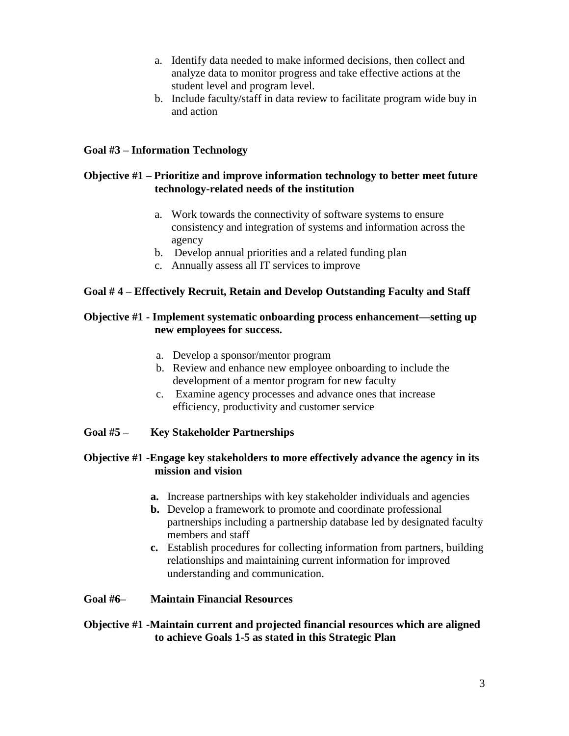- a. Identify data needed to make informed decisions, then collect and analyze data to monitor progress and take effective actions at the student level and program level.
- b. Include faculty/staff in data review to facilitate program wide buy in and action

#### **Goal #3 – Information Technology**

#### **Objective #1 – Prioritize and improve information technology to better meet future technology-related needs of the institution**

- a. Work towards the connectivity of software systems to ensure consistency and integration of systems and information across the agency
- b. Develop annual priorities and a related funding plan
- c. Annually assess all IT services to improve

#### **Goal # 4 – Effectively Recruit, Retain and Develop Outstanding Faculty and Staff**

#### **Objective #1 - Implement systematic onboarding process enhancement—setting up new employees for success.**

- a. Develop a sponsor/mentor program
- b. Review and enhance new employee onboarding to include the development of a mentor program for new faculty
- c. Examine agency processes and advance ones that increase efficiency, productivity and customer service

#### **Goal #5 – Key Stakeholder Partnerships**

#### **Objective #1 -Engage key stakeholders to more effectively advance the agency in its mission and vision**

- **a.** Increase partnerships with key stakeholder individuals and agencies
- **b.** Develop a framework to promote and coordinate professional partnerships including a partnership database led by designated faculty members and staff
- **c.** Establish procedures for collecting information from partners, building relationships and maintaining current information for improved understanding and communication.

#### **Goal #6– Maintain Financial Resources**

#### **Objective #1 -Maintain current and projected financial resources which are aligned to achieve Goals 1-5 as stated in this Strategic Plan**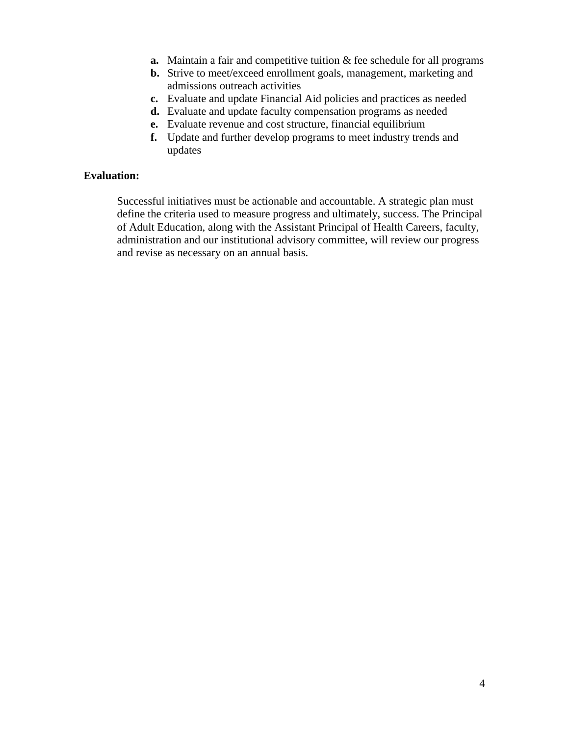- **a.** Maintain a fair and competitive tuition & fee schedule for all programs
- **b.** Strive to meet/exceed enrollment goals, management, marketing and admissions outreach activities
- **c.** Evaluate and update Financial Aid policies and practices as needed
- **d.** Evaluate and update faculty compensation programs as needed
- **e.** Evaluate revenue and cost structure, financial equilibrium
- **f.** Update and further develop programs to meet industry trends and updates

#### **Evaluation:**

Successful initiatives must be actionable and accountable. A strategic plan must define the criteria used to measure progress and ultimately, success. The Principal of Adult Education, along with the Assistant Principal of Health Careers, faculty, administration and our institutional advisory committee, will review our progress and revise as necessary on an annual basis.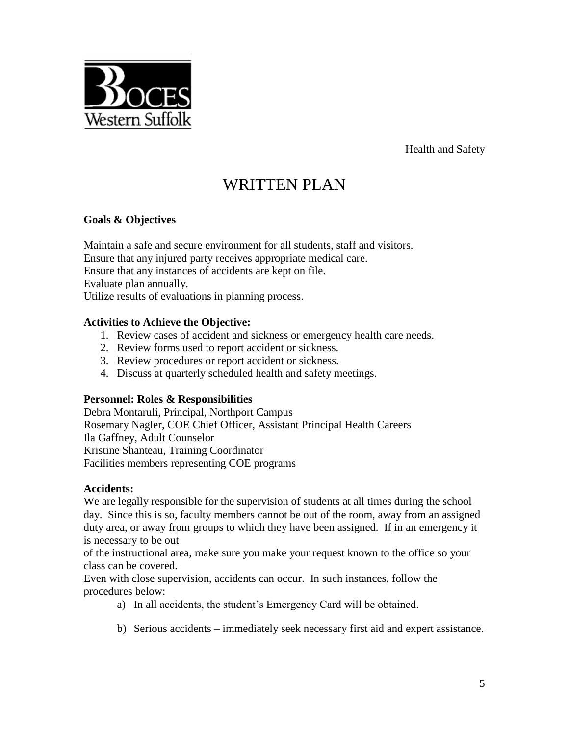Health and Safety

# WRITTEN PLAN

#### **Goals & Objectives**

Western Suffolk

Maintain a safe and secure environment for all students, staff and visitors. Ensure that any injured party receives appropriate medical care. Ensure that any instances of accidents are kept on file. Evaluate plan annually. Utilize results of evaluations in planning process.

#### **Activities to Achieve the Objective:**

- 1. Review cases of accident and sickness or emergency health care needs.
- 2. Review forms used to report accident or sickness.
- 3. Review procedures or report accident or sickness.
- 4. Discuss at quarterly scheduled health and safety meetings.

#### **Personnel: Roles & Responsibilities**

Debra Montaruli, Principal, Northport Campus Rosemary Nagler, COE Chief Officer, Assistant Principal Health Careers Ila Gaffney, Adult Counselor Kristine Shanteau, Training Coordinator Facilities members representing COE programs

#### **Accidents:**

We are legally responsible for the supervision of students at all times during the school day. Since this is so, faculty members cannot be out of the room, away from an assigned duty area, or away from groups to which they have been assigned. If in an emergency it is necessary to be out

of the instructional area, make sure you make your request known to the office so your class can be covered.

Even with close supervision, accidents can occur. In such instances, follow the procedures below:

- a) In all accidents, the student's Emergency Card will be obtained.
- b) Serious accidents immediately seek necessary first aid and expert assistance.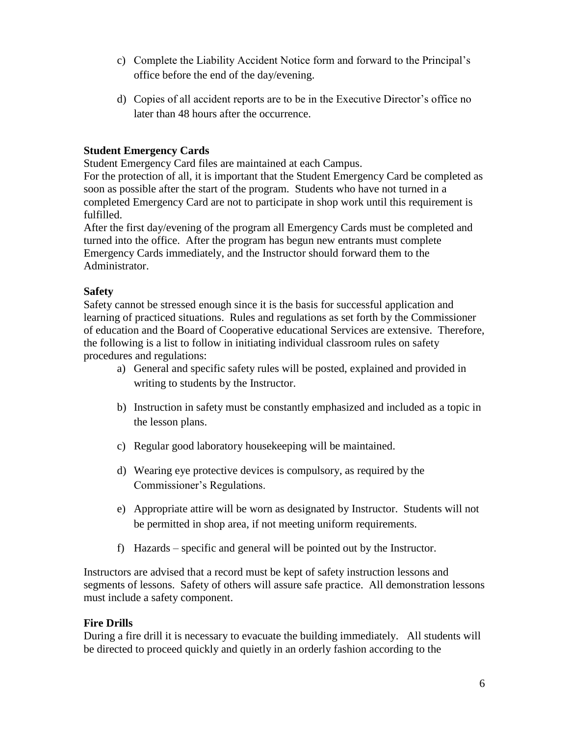- c) Complete the Liability Accident Notice form and forward to the Principal's office before the end of the day/evening.
- d) Copies of all accident reports are to be in the Executive Director's office no later than 48 hours after the occurrence.

# **Student Emergency Cards**

Student Emergency Card files are maintained at each Campus.

For the protection of all, it is important that the Student Emergency Card be completed as soon as possible after the start of the program. Students who have not turned in a completed Emergency Card are not to participate in shop work until this requirement is fulfilled.

After the first day/evening of the program all Emergency Cards must be completed and turned into the office. After the program has begun new entrants must complete Emergency Cards immediately, and the Instructor should forward them to the Administrator.

#### **Safety**

Safety cannot be stressed enough since it is the basis for successful application and learning of practiced situations. Rules and regulations as set forth by the Commissioner of education and the Board of Cooperative educational Services are extensive. Therefore, the following is a list to follow in initiating individual classroom rules on safety procedures and regulations:

- a) General and specific safety rules will be posted, explained and provided in writing to students by the Instructor.
- b) Instruction in safety must be constantly emphasized and included as a topic in the lesson plans.
- c) Regular good laboratory housekeeping will be maintained.
- d) Wearing eye protective devices is compulsory, as required by the Commissioner's Regulations.
- e) Appropriate attire will be worn as designated by Instructor. Students will not be permitted in shop area, if not meeting uniform requirements.
- f) Hazards specific and general will be pointed out by the Instructor.

Instructors are advised that a record must be kept of safety instruction lessons and segments of lessons. Safety of others will assure safe practice. All demonstration lessons must include a safety component.

# **Fire Drills**

During a fire drill it is necessary to evacuate the building immediately. All students will be directed to proceed quickly and quietly in an orderly fashion according to the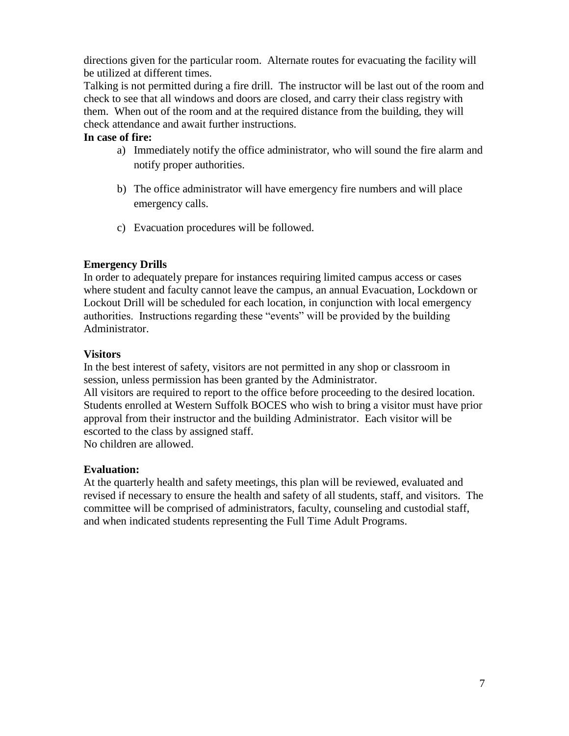directions given for the particular room. Alternate routes for evacuating the facility will be utilized at different times.

Talking is not permitted during a fire drill. The instructor will be last out of the room and check to see that all windows and doors are closed, and carry their class registry with them. When out of the room and at the required distance from the building, they will check attendance and await further instructions.

#### **In case of fire:**

- a) Immediately notify the office administrator, who will sound the fire alarm and notify proper authorities.
- b) The office administrator will have emergency fire numbers and will place emergency calls.
- c) Evacuation procedures will be followed.

#### **Emergency Drills**

In order to adequately prepare for instances requiring limited campus access or cases where student and faculty cannot leave the campus, an annual Evacuation, Lockdown or Lockout Drill will be scheduled for each location, in conjunction with local emergency authorities. Instructions regarding these "events" will be provided by the building Administrator.

#### **Visitors**

In the best interest of safety, visitors are not permitted in any shop or classroom in session, unless permission has been granted by the Administrator.

All visitors are required to report to the office before proceeding to the desired location. Students enrolled at Western Suffolk BOCES who wish to bring a visitor must have prior approval from their instructor and the building Administrator. Each visitor will be escorted to the class by assigned staff.

No children are allowed.

#### **Evaluation:**

At the quarterly health and safety meetings, this plan will be reviewed, evaluated and revised if necessary to ensure the health and safety of all students, staff, and visitors. The committee will be comprised of administrators, faculty, counseling and custodial staff, and when indicated students representing the Full Time Adult Programs.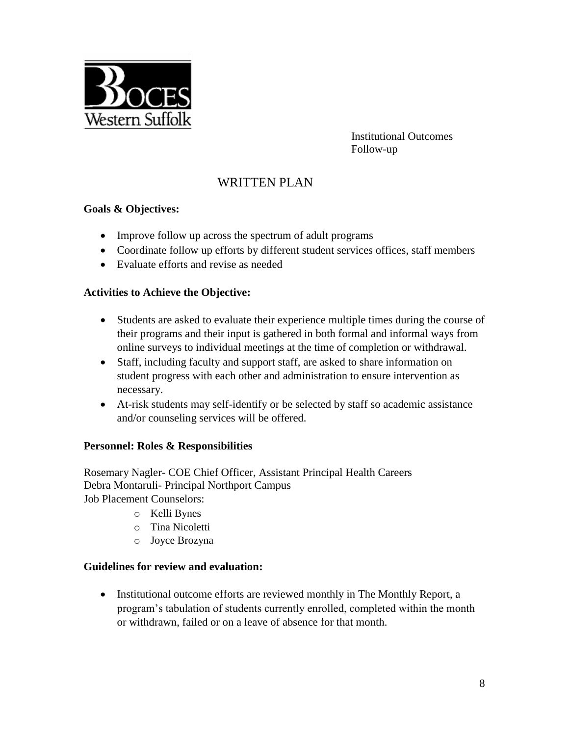

Institutional Outcomes Follow-up

# WRITTEN PLAN

#### **Goals & Objectives:**

- Improve follow up across the spectrum of adult programs
- Coordinate follow up efforts by different student services offices, staff members
- Evaluate efforts and revise as needed

#### **Activities to Achieve the Objective:**

- Students are asked to evaluate their experience multiple times during the course of their programs and their input is gathered in both formal and informal ways from online surveys to individual meetings at the time of completion or withdrawal.
- Staff, including faculty and support staff, are asked to share information on student progress with each other and administration to ensure intervention as necessary.
- At-risk students may self-identify or be selected by staff so academic assistance and/or counseling services will be offered.

#### **Personnel: Roles & Responsibilities**

Rosemary Nagler- COE Chief Officer, Assistant Principal Health Careers Debra Montaruli- Principal Northport Campus

Job Placement Counselors:

- o Kelli Bynes
- o Tina Nicoletti
- o Joyce Brozyna

#### **Guidelines for review and evaluation:**

• Institutional outcome efforts are reviewed monthly in The Monthly Report, a program's tabulation of students currently enrolled, completed within the month or withdrawn, failed or on a leave of absence for that month.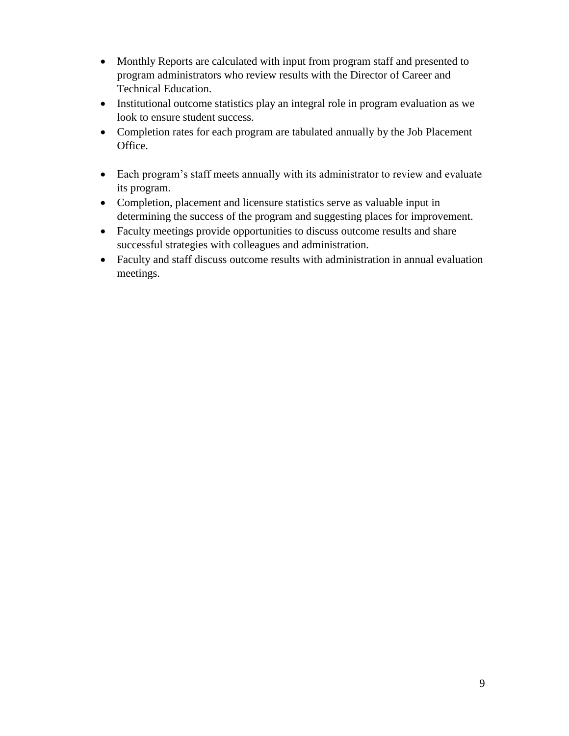- Monthly Reports are calculated with input from program staff and presented to program administrators who review results with the Director of Career and Technical Education.
- Institutional outcome statistics play an integral role in program evaluation as we look to ensure student success.
- Completion rates for each program are tabulated annually by the Job Placement Office.
- Each program's staff meets annually with its administrator to review and evaluate its program.
- Completion, placement and licensure statistics serve as valuable input in determining the success of the program and suggesting places for improvement.
- Faculty meetings provide opportunities to discuss outcome results and share successful strategies with colleagues and administration.
- Faculty and staff discuss outcome results with administration in annual evaluation meetings.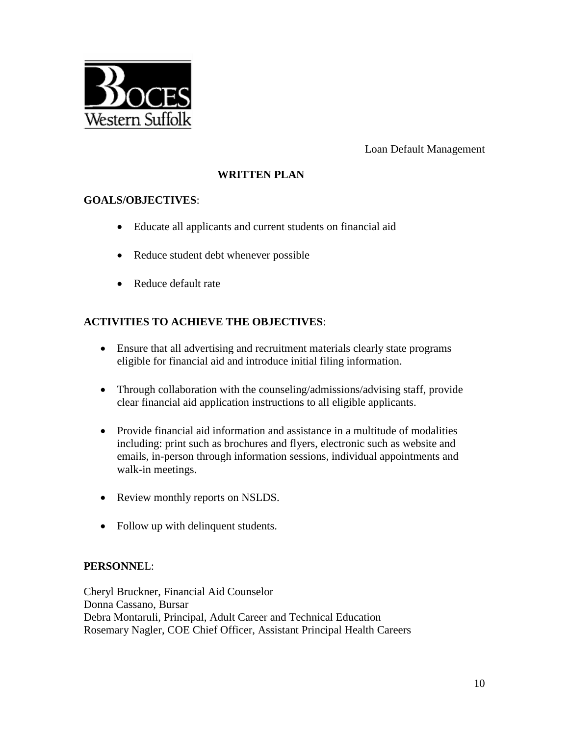

Loan Default Management

# **WRITTEN PLAN**

## **GOALS/OBJECTIVES**:

- Educate all applicants and current students on financial aid
- Reduce student debt whenever possible
- Reduce default rate

# **ACTIVITIES TO ACHIEVE THE OBJECTIVES**:

- Ensure that all advertising and recruitment materials clearly state programs eligible for financial aid and introduce initial filing information.
- Through collaboration with the counseling/admissions/advising staff, provide clear financial aid application instructions to all eligible applicants.
- Provide financial aid information and assistance in a multitude of modalities including: print such as brochures and flyers, electronic such as website and emails, in-person through information sessions, individual appointments and walk-in meetings.
- Review monthly reports on NSLDS.
- Follow up with delinquent students.

#### **PERSONNE**L:

Cheryl Bruckner, Financial Aid Counselor Donna Cassano, Bursar Debra Montaruli, Principal, Adult Career and Technical Education Rosemary Nagler, COE Chief Officer, Assistant Principal Health Careers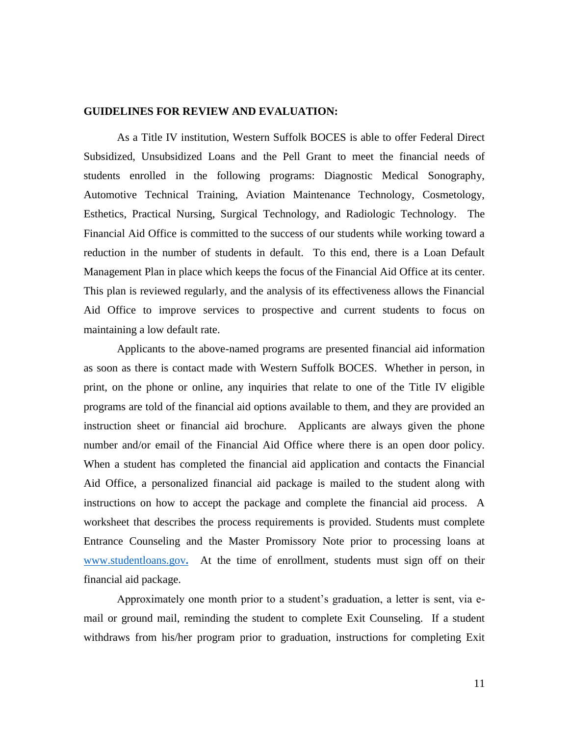#### **GUIDELINES FOR REVIEW AND EVALUATION:**

As a Title IV institution, Western Suffolk BOCES is able to offer Federal Direct Subsidized, Unsubsidized Loans and the Pell Grant to meet the financial needs of students enrolled in the following programs: Diagnostic Medical Sonography, Automotive Technical Training, Aviation Maintenance Technology, Cosmetology, Esthetics, Practical Nursing, Surgical Technology, and Radiologic Technology. The Financial Aid Office is committed to the success of our students while working toward a reduction in the number of students in default. To this end, there is a Loan Default Management Plan in place which keeps the focus of the Financial Aid Office at its center. This plan is reviewed regularly, and the analysis of its effectiveness allows the Financial Aid Office to improve services to prospective and current students to focus on maintaining a low default rate.

Applicants to the above-named programs are presented financial aid information as soon as there is contact made with Western Suffolk BOCES. Whether in person, in print, on the phone or online, any inquiries that relate to one of the Title IV eligible programs are told of the financial aid options available to them, and they are provided an instruction sheet or financial aid brochure. Applicants are always given the phone number and/or email of the Financial Aid Office where there is an open door policy. When a student has completed the financial aid application and contacts the Financial Aid Office, a personalized financial aid package is mailed to the student along with instructions on how to accept the package and complete the financial aid process. A worksheet that describes the process requirements is provided. Students must complete Entrance Counseling and the Master Promissory Note prior to processing loans at [www.studentloans.gov](http://www.studentloans.gov/)**.** At the time of enrollment, students must sign off on their financial aid package.

Approximately one month prior to a student's graduation, a letter is sent, via email or ground mail, reminding the student to complete Exit Counseling. If a student withdraws from his/her program prior to graduation, instructions for completing Exit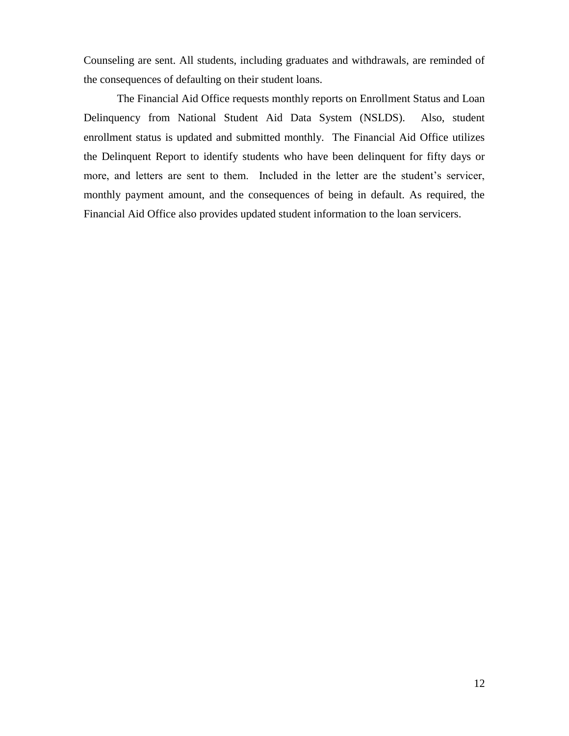Counseling are sent. All students, including graduates and withdrawals, are reminded of the consequences of defaulting on their student loans.

The Financial Aid Office requests monthly reports on Enrollment Status and Loan Delinquency from National Student Aid Data System (NSLDS). Also, student enrollment status is updated and submitted monthly. The Financial Aid Office utilizes the Delinquent Report to identify students who have been delinquent for fifty days or more, and letters are sent to them. Included in the letter are the student's servicer, monthly payment amount, and the consequences of being in default. As required, the Financial Aid Office also provides updated student information to the loan servicers.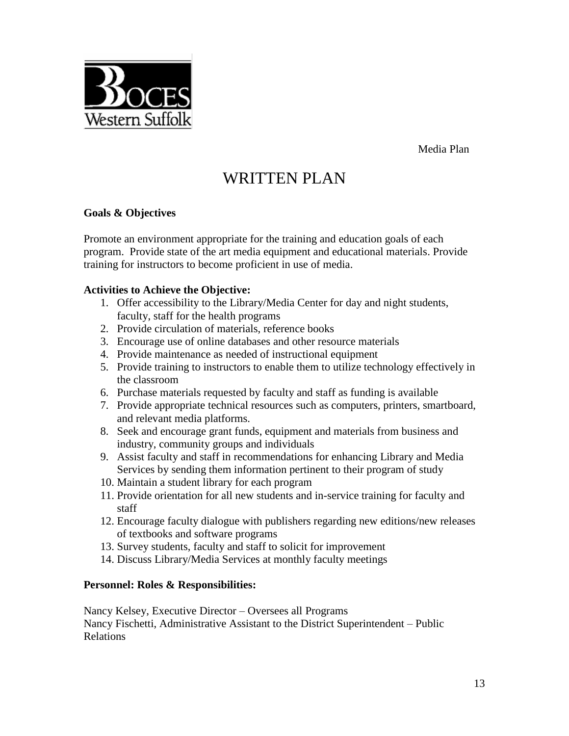Media Plan



#### **Goals & Objectives**

Western Suffolk

Promote an environment appropriate for the training and education goals of each program. Provide state of the art media equipment and educational materials. Provide training for instructors to become proficient in use of media.

#### **Activities to Achieve the Objective:**

- 1. Offer accessibility to the Library/Media Center for day and night students, faculty, staff for the health programs
- 2. Provide circulation of materials, reference books
- 3. Encourage use of online databases and other resource materials
- 4. Provide maintenance as needed of instructional equipment
- 5. Provide training to instructors to enable them to utilize technology effectively in the classroom
- 6. Purchase materials requested by faculty and staff as funding is available
- 7. Provide appropriate technical resources such as computers, printers, smartboard, and relevant media platforms.
- 8. Seek and encourage grant funds, equipment and materials from business and industry, community groups and individuals
- 9. Assist faculty and staff in recommendations for enhancing Library and Media Services by sending them information pertinent to their program of study
- 10. Maintain a student library for each program
- 11. Provide orientation for all new students and in-service training for faculty and staff
- 12. Encourage faculty dialogue with publishers regarding new editions/new releases of textbooks and software programs
- 13. Survey students, faculty and staff to solicit for improvement
- 14. Discuss Library/Media Services at monthly faculty meetings

#### **Personnel: Roles & Responsibilities:**

Nancy Kelsey, Executive Director – Oversees all Programs Nancy Fischetti, Administrative Assistant to the District Superintendent – Public

Relations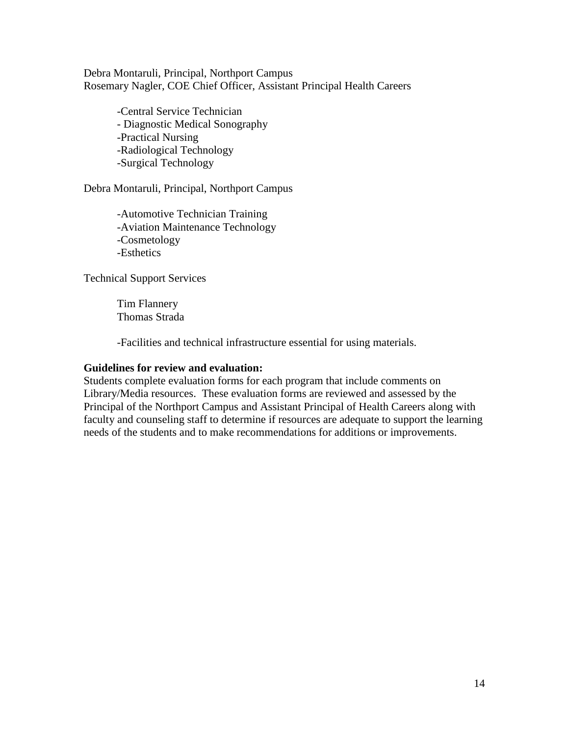Debra Montaruli, Principal, Northport Campus Rosemary Nagler, COE Chief Officer, Assistant Principal Health Careers

> -Central Service Technician - Diagnostic Medical Sonography -Practical Nursing -Radiological Technology -Surgical Technology

Debra Montaruli, Principal, Northport Campus

-Automotive Technician Training -Aviation Maintenance Technology -Cosmetology -Esthetics

Technical Support Services

Tim Flannery Thomas Strada

-Facilities and technical infrastructure essential for using materials.

#### **Guidelines for review and evaluation:**

Students complete evaluation forms for each program that include comments on Library/Media resources. These evaluation forms are reviewed and assessed by the Principal of the Northport Campus and Assistant Principal of Health Careers along with faculty and counseling staff to determine if resources are adequate to support the learning needs of the students and to make recommendations for additions or improvements.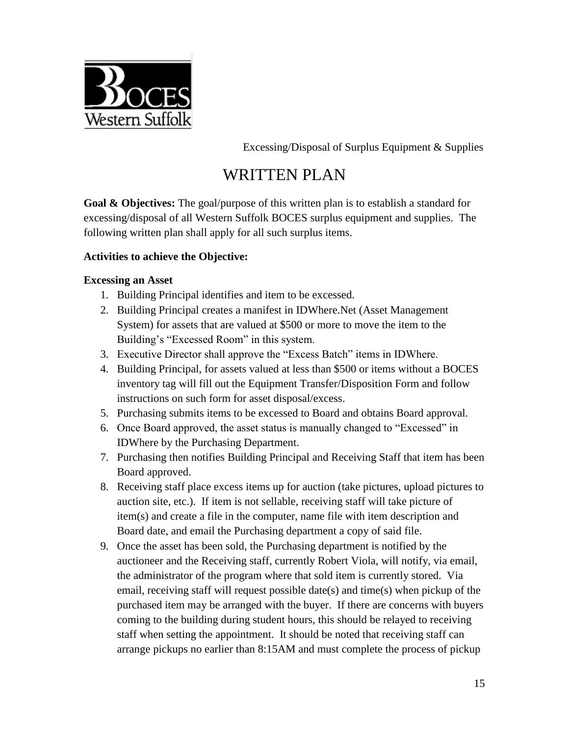

Excessing/Disposal of Surplus Equipment & Supplies

# WRITTEN PLAN

**Goal & Objectives:** The goal/purpose of this written plan is to establish a standard for excessing/disposal of all Western Suffolk BOCES surplus equipment and supplies. The following written plan shall apply for all such surplus items.

## **Activities to achieve the Objective:**

#### **Excessing an Asset**

- 1. Building Principal identifies and item to be excessed.
- 2. Building Principal creates a manifest in IDWhere.Net (Asset Management System) for assets that are valued at \$500 or more to move the item to the Building's "Excessed Room" in this system.
- 3. Executive Director shall approve the "Excess Batch" items in IDWhere.
- 4. Building Principal, for assets valued at less than \$500 or items without a BOCES inventory tag will fill out the Equipment Transfer/Disposition Form and follow instructions on such form for asset disposal/excess.
- 5. Purchasing submits items to be excessed to Board and obtains Board approval.
- 6. Once Board approved, the asset status is manually changed to "Excessed" in IDWhere by the Purchasing Department.
- 7. Purchasing then notifies Building Principal and Receiving Staff that item has been Board approved.
- 8. Receiving staff place excess items up for auction (take pictures, upload pictures to auction site, etc.). If item is not sellable, receiving staff will take picture of item(s) and create a file in the computer, name file with item description and Board date, and email the Purchasing department a copy of said file.
- 9. Once the asset has been sold, the Purchasing department is notified by the auctioneer and the Receiving staff, currently Robert Viola, will notify, via email, the administrator of the program where that sold item is currently stored. Via email, receiving staff will request possible date(s) and time(s) when pickup of the purchased item may be arranged with the buyer. If there are concerns with buyers coming to the building during student hours, this should be relayed to receiving staff when setting the appointment. It should be noted that receiving staff can arrange pickups no earlier than 8:15AM and must complete the process of pickup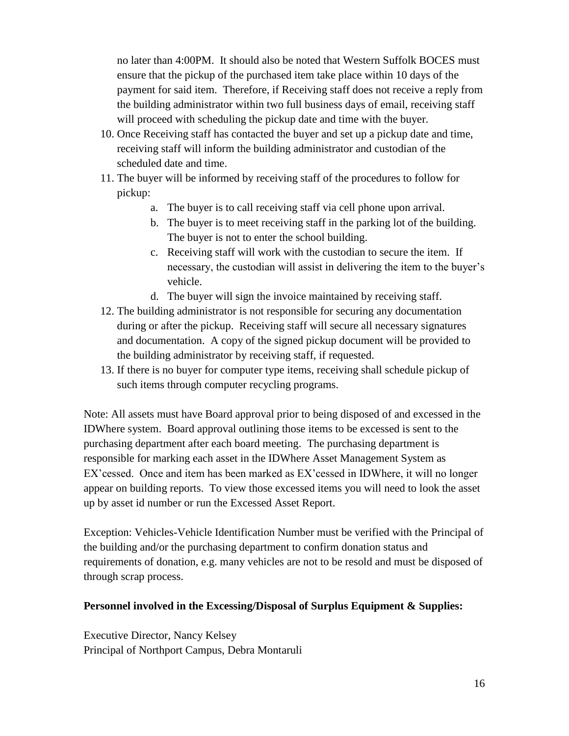no later than 4:00PM. It should also be noted that Western Suffolk BOCES must ensure that the pickup of the purchased item take place within 10 days of the payment for said item. Therefore, if Receiving staff does not receive a reply from the building administrator within two full business days of email, receiving staff will proceed with scheduling the pickup date and time with the buyer.

- 10. Once Receiving staff has contacted the buyer and set up a pickup date and time, receiving staff will inform the building administrator and custodian of the scheduled date and time.
- 11. The buyer will be informed by receiving staff of the procedures to follow for pickup:
	- a. The buyer is to call receiving staff via cell phone upon arrival.
	- b. The buyer is to meet receiving staff in the parking lot of the building. The buyer is not to enter the school building.
	- c. Receiving staff will work with the custodian to secure the item. If necessary, the custodian will assist in delivering the item to the buyer's vehicle.
	- d. The buyer will sign the invoice maintained by receiving staff.
- 12. The building administrator is not responsible for securing any documentation during or after the pickup. Receiving staff will secure all necessary signatures and documentation. A copy of the signed pickup document will be provided to the building administrator by receiving staff, if requested.
- 13. If there is no buyer for computer type items, receiving shall schedule pickup of such items through computer recycling programs.

Note: All assets must have Board approval prior to being disposed of and excessed in the IDWhere system. Board approval outlining those items to be excessed is sent to the purchasing department after each board meeting. The purchasing department is responsible for marking each asset in the IDWhere Asset Management System as EX'cessed. Once and item has been marked as EX'cessed in IDWhere, it will no longer appear on building reports. To view those excessed items you will need to look the asset up by asset id number or run the Excessed Asset Report.

Exception: Vehicles-Vehicle Identification Number must be verified with the Principal of the building and/or the purchasing department to confirm donation status and requirements of donation, e.g. many vehicles are not to be resold and must be disposed of through scrap process.

#### **Personnel involved in the Excessing/Disposal of Surplus Equipment & Supplies:**

Executive Director, Nancy Kelsey Principal of Northport Campus, Debra Montaruli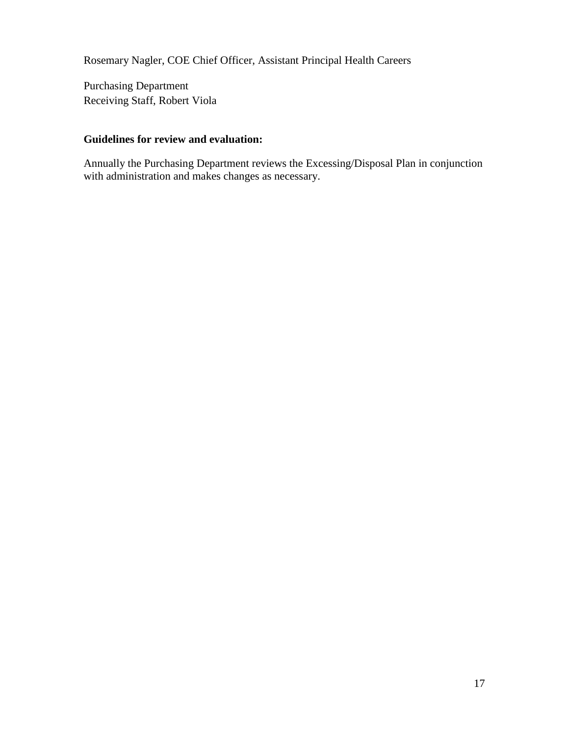Rosemary Nagler, COE Chief Officer, Assistant Principal Health Careers

Purchasing Department Receiving Staff, Robert Viola

#### **Guidelines for review and evaluation:**

Annually the Purchasing Department reviews the Excessing/Disposal Plan in conjunction with administration and makes changes as necessary.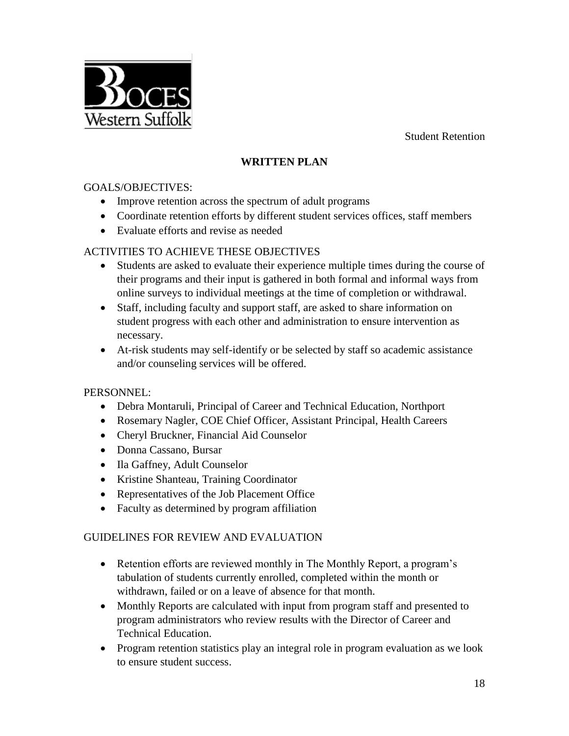Student Retention



# **WRITTEN PLAN**

#### GOALS/OBJECTIVES:

- Improve retention across the spectrum of adult programs
- Coordinate retention efforts by different student services offices, staff members
- Evaluate efforts and revise as needed

## ACTIVITIES TO ACHIEVE THESE OBJECTIVES

- Students are asked to evaluate their experience multiple times during the course of their programs and their input is gathered in both formal and informal ways from online surveys to individual meetings at the time of completion or withdrawal.
- Staff, including faculty and support staff, are asked to share information on student progress with each other and administration to ensure intervention as necessary.
- At-risk students may self-identify or be selected by staff so academic assistance and/or counseling services will be offered.

#### PERSONNEL:

- Debra Montaruli, Principal of Career and Technical Education, Northport
- Rosemary Nagler, COE Chief Officer, Assistant Principal, Health Careers
- Cheryl Bruckner, Financial Aid Counselor
- Donna Cassano, Bursar
- Ila Gaffney, Adult Counselor
- Kristine Shanteau, Training Coordinator
- Representatives of the Job Placement Office
- Faculty as determined by program affiliation

#### GUIDELINES FOR REVIEW AND EVALUATION

- Retention efforts are reviewed monthly in The Monthly Report, a program's tabulation of students currently enrolled, completed within the month or withdrawn, failed or on a leave of absence for that month.
- Monthly Reports are calculated with input from program staff and presented to program administrators who review results with the Director of Career and Technical Education.
- Program retention statistics play an integral role in program evaluation as we look to ensure student success.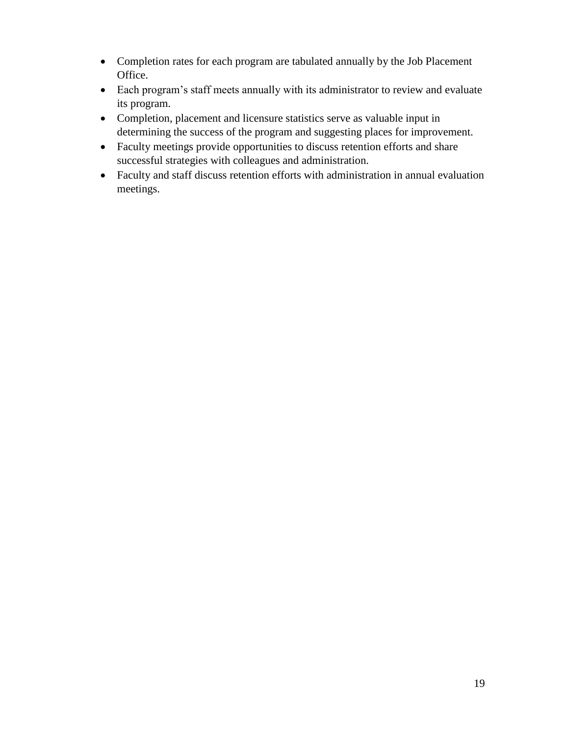- Completion rates for each program are tabulated annually by the Job Placement Office.
- Each program's staff meets annually with its administrator to review and evaluate its program.
- Completion, placement and licensure statistics serve as valuable input in determining the success of the program and suggesting places for improvement.
- Faculty meetings provide opportunities to discuss retention efforts and share successful strategies with colleagues and administration.
- Faculty and staff discuss retention efforts with administration in annual evaluation meetings.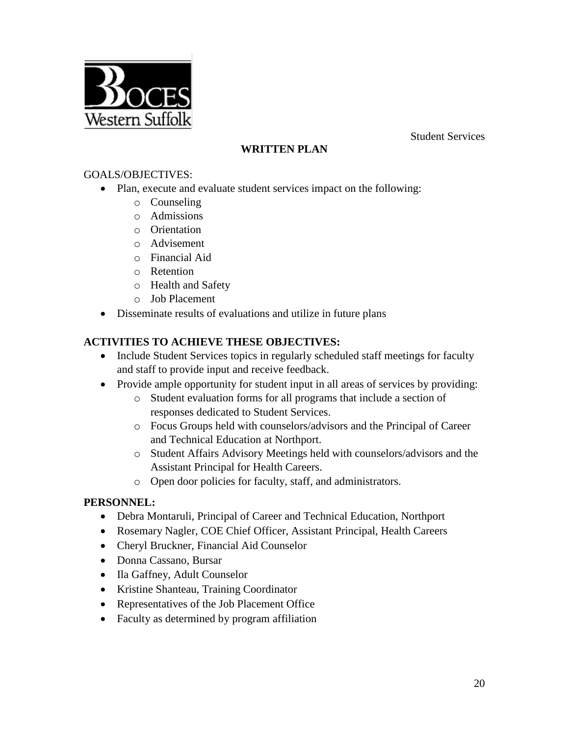Student Services



# **WRITTEN PLAN**

#### GOALS/OBJECTIVES:

- Plan, execute and evaluate student services impact on the following:
	- o Counseling
	- o Admissions
	- o Orientation
	- o Advisement
	- o Financial Aid
	- o Retention
	- o Health and Safety
	- o Job Placement
- Disseminate results of evaluations and utilize in future plans

# **ACTIVITIES TO ACHIEVE THESE OBJECTIVES:**

- Include Student Services topics in regularly scheduled staff meetings for faculty and staff to provide input and receive feedback.
- Provide ample opportunity for student input in all areas of services by providing:
	- o Student evaluation forms for all programs that include a section of responses dedicated to Student Services.
	- o Focus Groups held with counselors/advisors and the Principal of Career and Technical Education at Northport.
	- o Student Affairs Advisory Meetings held with counselors/advisors and the Assistant Principal for Health Careers.
	- o Open door policies for faculty, staff, and administrators.

#### **PERSONNEL:**

- Debra Montaruli, Principal of Career and Technical Education, Northport
- Rosemary Nagler, COE Chief Officer, Assistant Principal, Health Careers
- Cheryl Bruckner, Financial Aid Counselor
- Donna Cassano, Bursar
- Ila Gaffney, Adult Counselor
- Kristine Shanteau, Training Coordinator
- Representatives of the Job Placement Office
- Faculty as determined by program affiliation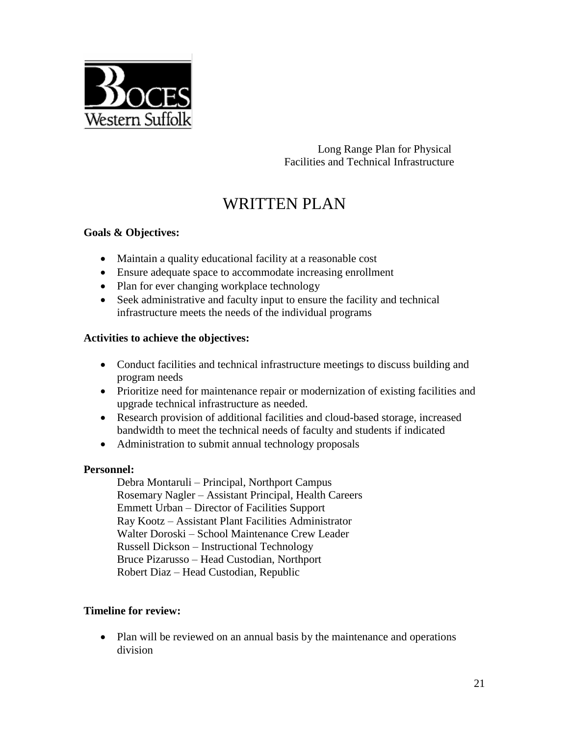

Long Range Plan for Physical Facilities and Technical Infrastructure

# WRITTEN PLAN

## **Goals & Objectives:**

- Maintain a quality educational facility at a reasonable cost
- Ensure adequate space to accommodate increasing enrollment
- Plan for ever changing workplace technology
- Seek administrative and faculty input to ensure the facility and technical infrastructure meets the needs of the individual programs

#### **Activities to achieve the objectives:**

- Conduct facilities and technical infrastructure meetings to discuss building and program needs
- Prioritize need for maintenance repair or modernization of existing facilities and upgrade technical infrastructure as needed.
- Research provision of additional facilities and cloud-based storage, increased bandwidth to meet the technical needs of faculty and students if indicated
- Administration to submit annual technology proposals

#### **Personnel:**

Debra Montaruli – Principal, Northport Campus Rosemary Nagler – Assistant Principal, Health Careers Emmett Urban – Director of Facilities Support Ray Kootz – Assistant Plant Facilities Administrator Walter Doroski – School Maintenance Crew Leader Russell Dickson – Instructional Technology Bruce Pizarusso – Head Custodian, Northport Robert Diaz – Head Custodian, Republic

#### **Timeline for review:**

• Plan will be reviewed on an annual basis by the maintenance and operations division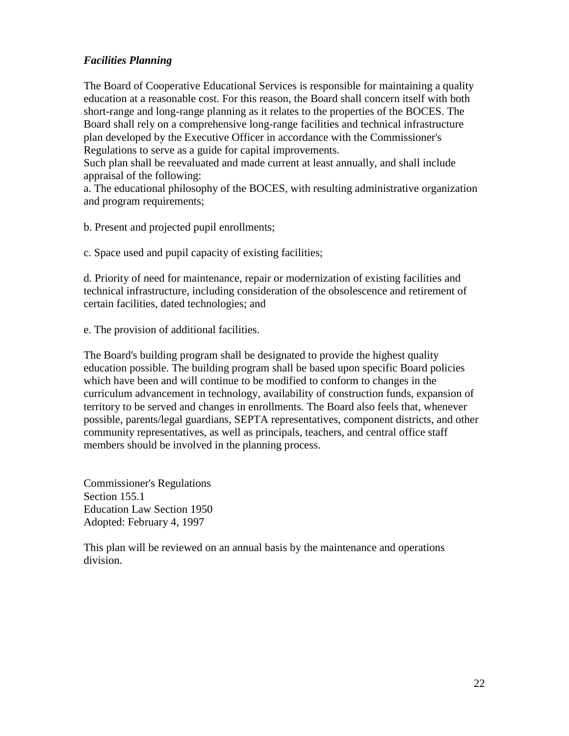#### *Facilities Planning*

The Board of Cooperative Educational Services is responsible for maintaining a quality education at a reasonable cost. For this reason, the Board shall concern itself with both short-range and long-range planning as it relates to the properties of the BOCES. The Board shall rely on a comprehensive long-range facilities and technical infrastructure plan developed by the Executive Officer in accordance with the Commissioner's Regulations to serve as a guide for capital improvements.

Such plan shall be reevaluated and made current at least annually, and shall include appraisal of the following:

a. The educational philosophy of the BOCES, with resulting administrative organization and program requirements;

b. Present and projected pupil enrollments;

c. Space used and pupil capacity of existing facilities;

d. Priority of need for maintenance, repair or modernization of existing facilities and technical infrastructure, including consideration of the obsolescence and retirement of certain facilities, dated technologies; and

e. The provision of additional facilities.

The Board's building program shall be designated to provide the highest quality education possible. The building program shall be based upon specific Board policies which have been and will continue to be modified to conform to changes in the curriculum advancement in technology, availability of construction funds, expansion of territory to be served and changes in enrollments. The Board also feels that, whenever possible, parents/legal guardians, SEPTA representatives, component districts, and other community representatives, as well as principals, teachers, and central office staff members should be involved in the planning process.

Commissioner's Regulations Section 155.1 Education Law Section 1950 Adopted: February 4, 1997

This plan will be reviewed on an annual basis by the maintenance and operations division.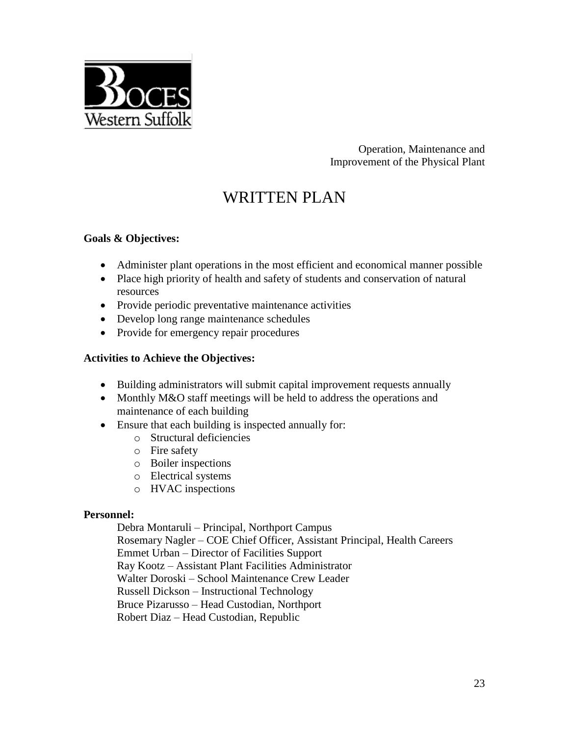

Operation, Maintenance and Improvement of the Physical Plant

# WRITTEN PLAN

#### **Goals & Objectives:**

- Administer plant operations in the most efficient and economical manner possible
- Place high priority of health and safety of students and conservation of natural resources
- Provide periodic preventative maintenance activities
- Develop long range maintenance schedules
- Provide for emergency repair procedures

#### **Activities to Achieve the Objectives:**

- Building administrators will submit capital improvement requests annually
- Monthly M&O staff meetings will be held to address the operations and maintenance of each building
- Ensure that each building is inspected annually for:
	- o Structural deficiencies
	- o Fire safety
	- o Boiler inspections
	- o Electrical systems
	- o HVAC inspections

#### **Personnel:**

 Debra Montaruli – Principal, Northport Campus Rosemary Nagler – COE Chief Officer, Assistant Principal, Health Careers Emmet Urban – Director of Facilities Support Ray Kootz – Assistant Plant Facilities Administrator Walter Doroski – School Maintenance Crew Leader Russell Dickson – Instructional Technology Bruce Pizarusso – Head Custodian, Northport Robert Diaz – Head Custodian, Republic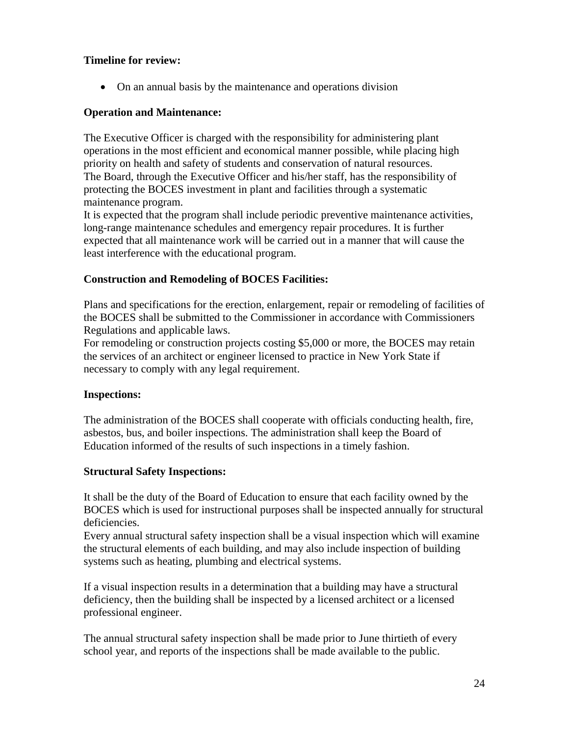#### **Timeline for review:**

• On an annual basis by the maintenance and operations division

#### **Operation and Maintenance:**

The Executive Officer is charged with the responsibility for administering plant operations in the most efficient and economical manner possible, while placing high priority on health and safety of students and conservation of natural resources. The Board, through the Executive Officer and his/her staff, has the responsibility of protecting the BOCES investment in plant and facilities through a systematic maintenance program.

It is expected that the program shall include periodic preventive maintenance activities, long-range maintenance schedules and emergency repair procedures. It is further expected that all maintenance work will be carried out in a manner that will cause the least interference with the educational program.

#### **Construction and Remodeling of BOCES Facilities:**

Plans and specifications for the erection, enlargement, repair or remodeling of facilities of the BOCES shall be submitted to the Commissioner in accordance with Commissioners Regulations and applicable laws.

For remodeling or construction projects costing \$5,000 or more, the BOCES may retain the services of an architect or engineer licensed to practice in New York State if necessary to comply with any legal requirement.

#### **Inspections:**

The administration of the BOCES shall cooperate with officials conducting health, fire, asbestos, bus, and boiler inspections. The administration shall keep the Board of Education informed of the results of such inspections in a timely fashion.

#### **Structural Safety Inspections:**

It shall be the duty of the Board of Education to ensure that each facility owned by the BOCES which is used for instructional purposes shall be inspected annually for structural deficiencies.

Every annual structural safety inspection shall be a visual inspection which will examine the structural elements of each building, and may also include inspection of building systems such as heating, plumbing and electrical systems.

If a visual inspection results in a determination that a building may have a structural deficiency, then the building shall be inspected by a licensed architect or a licensed professional engineer.

The annual structural safety inspection shall be made prior to June thirtieth of every school year, and reports of the inspections shall be made available to the public.